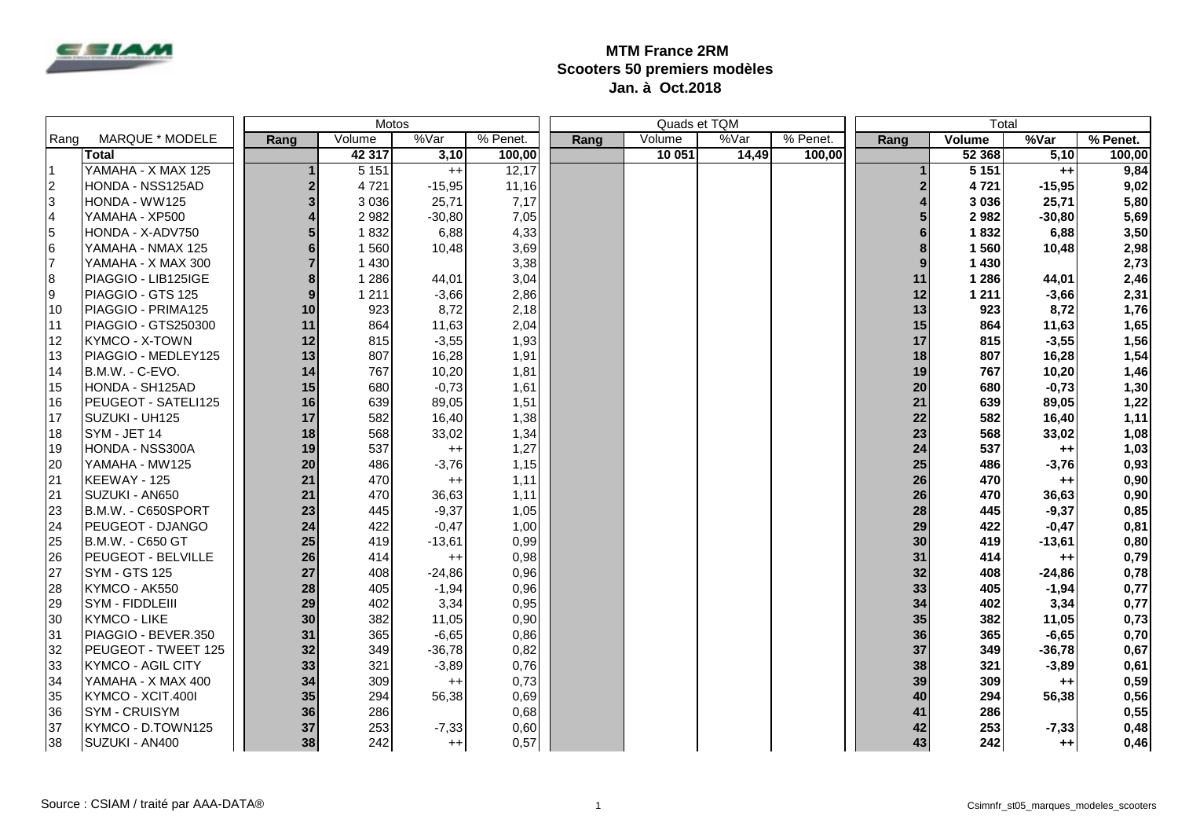

## **MTM France 2RM Scooters 50 premiers modèles Jan. à Oct.2018**

|      | Motos                    |              |         |          |          |      |        | Quads et TQM |          | Total          |         |          |          |
|------|--------------------------|--------------|---------|----------|----------|------|--------|--------------|----------|----------------|---------|----------|----------|
| Rang | MARQUE * MODELE          | Rang         | Volume  | %Var     | % Penet. | Rang | Volume | %Var         | % Penet. | Rang           | Volume  | %Var     | % Penet. |
|      | <b>Total</b>             |              | 42 317  | 3,10     | 100,00   |      | 10 051 | 14,49        | 100.00   |                | 52 368  | 5,10     | 100,00   |
| Ι1   | YAMAHA - X MAX 125       |              | 5 1 5 1 | $^{++}$  | 12,17    |      |        |              |          |                | 5151    | $^{++}$  | 9,84     |
| 2    | HONDA - NSS125AD         | $\mathbf{2}$ | 4 7 2 1 | $-15,95$ | 11,16    |      |        |              |          | $\overline{2}$ | 4721    | $-15,95$ | 9,02     |
| l3   | HONDA - WW125            | 3            | 3 0 3 6 | 25,71    | 7,17     |      |        |              |          |                | 3 0 3 6 | 25,71    | 5,80     |
| 14   | YAMAHA - XP500           |              | 2 9 8 2 | $-30,80$ | 7,05     |      |        |              |          |                | 2982    | $-30,80$ | 5,69     |
| 5    | HONDA - X-ADV750         |              | 1832    | 6,88     | 4,33     |      |        |              |          |                | 1832    | 6,88     | 3,50     |
| 6    | YAMAHA - NMAX 125        |              | 1 5 6 0 | 10,48    | 3,69     |      |        |              |          |                | 1560    | 10,48    | 2,98     |
| 17   | YAMAHA - X MAX 300       |              | 1 4 3 0 |          | 3,38     |      |        |              |          |                | 1 4 3 0 |          | 2,73     |
| 8    | PIAGGIO - LIB125IGE      |              | 1 2 8 6 | 44,01    | 3,04     |      |        |              |          | 11             | 1 2 8 6 | 44,01    | 2,46     |
| 9    | PIAGGIO - GTS 125        | 9            | 1 2 1 1 | $-3.66$  | 2,86     |      |        |              |          | 12             | 1 2 1 1 | $-3,66$  | 2,31     |
| 10   | PIAGGIO - PRIMA125       | 10           | 923     | 8,72     | 2,18     |      |        |              |          | 13             | 923     | 8,72     | 1,76     |
| 111  | PIAGGIO - GTS250300      | 11           | 864     | 11,63    | 2,04     |      |        |              |          | 15             | 864     | 11,63    | 1,65     |
| 12   | <b>KYMCO - X-TOWN</b>    | 12           | 815     | $-3,55$  | 1,93     |      |        |              |          | 17             | 815     | $-3,55$  | 1,56     |
| 13   | PIAGGIO - MEDLEY125      | 13           | 807     | 16,28    | 1,91     |      |        |              |          | 18             | 807     | 16,28    | 1,54     |
| 14   | B.M.W. - C-EVO.          | 14           | 767     | 10,20    | 1,81     |      |        |              |          | 19             | 767     | 10,20    | 1,46     |
| 15   | HONDA - SH125AD          | 15           | 680     | $-0,73$  | 1,61     |      |        |              |          | 20             | 680     | $-0,73$  | 1,30     |
| 16   | PEUGEOT - SATELI125      | 16           | 639     | 89,05    | 1,51     |      |        |              |          | 21             | 639     | 89,05    | 1,22     |
| 17   | SUZUKI - UH125           | 17           | 582     | 16,40    | 1,38     |      |        |              |          | 22             | 582     | 16,40    | 1,11     |
| 18   | SYM - JET 14             | 18           | 568     | 33,02    | 1,34     |      |        |              |          | 23             | 568     | 33,02    | 1,08     |
| 19   | HONDA - NSS300A          | 19           | 537     | $++$     | 1,27     |      |        |              |          | 24             | 537     | $^{++}$  | 1,03     |
| 20   | YAMAHA - MW125           | 20           | 486     | $-3,76$  | 1,15     |      |        |              |          | 25             | 486     | $-3,76$  | 0,93     |
| 121  | KEEWAY - 125             | 21           | 470     | $^{++}$  | 1,11     |      |        |              |          | 26             | 470     | $+ +$    | 0,90     |
| 21   | SUZUKI - AN650           | 21           | 470     | 36,63    | 1,11     |      |        |              |          | 26             | 470     | 36,63    | 0,90     |
| 23   | B.M.W. - C650SPORT       | 23           | 445     | $-9,37$  | 1,05     |      |        |              |          | 28             | 445     | $-9,37$  | 0,85     |
| 24   | <b>PEUGEOT - DJANGO</b>  | 24           | 422     | $-0,47$  | 1,00     |      |        |              |          | 29             | 422     | $-0,47$  | 0,81     |
| 25   | B.M.W. - C650 GT         | 25           | 419     | $-13,61$ | 0,99     |      |        |              |          | 30             | 419     | $-13,61$ | 0,80     |
| 26   | PEUGEOT - BELVILLE       | 26           | 414     | $^{++}$  | 0,98     |      |        |              |          | 31             | 414     | $^{++}$  | 0,79     |
| 27   | <b>SYM - GTS 125</b>     | 27           | 408     | $-24,86$ | 0,96     |      |        |              |          | 32             | 408     | $-24,86$ | 0,78     |
| 28   | KYMCO - AK550            | 28           | 405     | $-1,94$  | 0,96     |      |        |              |          | 33             | 405     | $-1,94$  | 0,77     |
| 29   | SYM - FIDDLEIII          | 29           | 402     | 3,34     | 0,95     |      |        |              |          | 34             | 402     | 3,34     | 0,77     |
| 30   | <b>KYMCO - LIKE</b>      | 30           | 382     | 11,05    | 0,90     |      |        |              |          | 35             | 382     | 11,05    | 0,73     |
| 31   | PIAGGIO - BEVER.350      | 31           | 365     | $-6,65$  | 0,86     |      |        |              |          | 36             | 365     | $-6,65$  | 0,70     |
| 32   | PEUGEOT - TWEET 125      | 32           | 349     | $-36,78$ | 0,82     |      |        |              |          | 37             | 349     | $-36,78$ | 0,67     |
| 33   | <b>KYMCO - AGIL CITY</b> | 33           | 321     | $-3,89$  | 0,76     |      |        |              |          | 38             | 321     | $-3,89$  | 0,61     |
| 34   | YAMAHA - X MAX 400       | 34           | 309     | $^{++}$  | 0,73     |      |        |              |          | 39             | 309     | $++$     | 0,59     |
| 35   | KYMCO - XCIT.400I        | 35           | 294     | 56,38    | 0,69     |      |        |              |          | 40             | 294     | 56,38    | 0,56     |
| 36   | <b>SYM - CRUISYM</b>     | 36           | 286     |          | 0,68     |      |        |              |          | 41             | 286     |          | 0,55     |
| 37   | KYMCO - D.TOWN125        | 37           | 253     | $-7,33$  | 0,60     |      |        |              |          | 42             | 253     | $-7,33$  | 0,48     |
| 38   | SUZUKI - AN400           | 38           | 242     | $^{++}$  | 0,57     |      |        |              |          | 43             | 242     | $++1$    | 0,46     |